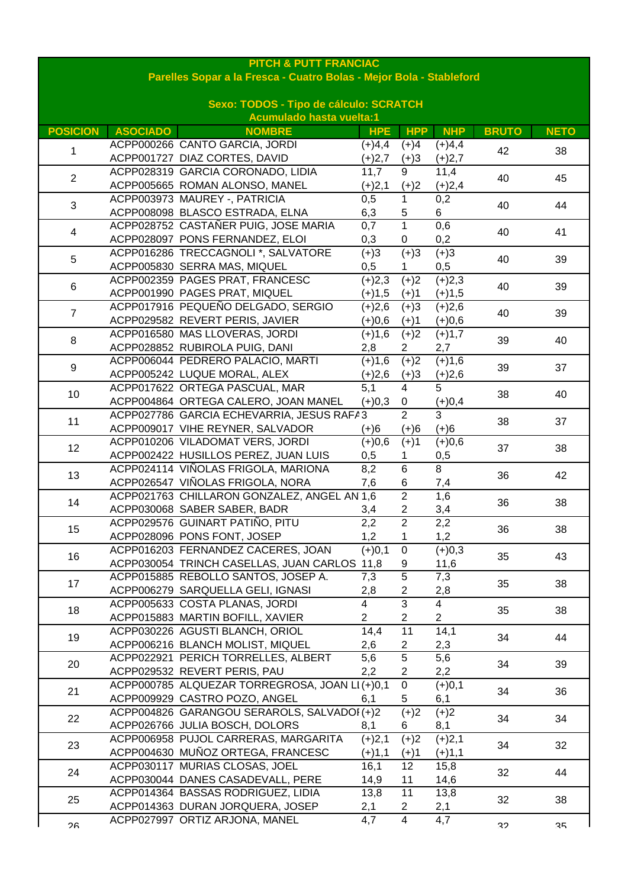| <b>PITCH &amp; PUTT FRANCIAC</b><br>Parelles Sopar a la Fresca - Cuatro Bolas - Mejor Bola - Stableford |                 |                                                                    |                  |                                  |                 |              |                |
|---------------------------------------------------------------------------------------------------------|-----------------|--------------------------------------------------------------------|------------------|----------------------------------|-----------------|--------------|----------------|
| Sexo: TODOS - Tipo de cálculo: SCRATCH                                                                  |                 |                                                                    |                  |                                  |                 |              |                |
|                                                                                                         |                 | <b>Acumulado hasta vuelta:1</b>                                    |                  |                                  |                 |              |                |
| <b>POSICION</b>                                                                                         | <b>ASOCIADO</b> | <b>NOMBRE</b>                                                      | <b>HPE</b>       | <b>HPP</b>                       | <b>NHP</b>      | <b>BRUTO</b> | <b>NETO</b>    |
| 1                                                                                                       |                 | ACPP000266 CANTO GARCIA, JORDI                                     | $(+)4,4$         | $(+)4$                           | $(+)4,4$        | 42           | 38             |
|                                                                                                         |                 | ACPP001727 DIAZ CORTES, DAVID<br>ACPP028319 GARCIA CORONADO, LIDIA | $(+)2,7$<br>11,7 | $(+)3$<br>9                      | $(+)2,7$        |              |                |
| $\overline{2}$                                                                                          |                 | ACPP005665 ROMAN ALONSO, MANEL                                     |                  |                                  | 11,4            | 40           | 45             |
|                                                                                                         |                 | ACPP003973 MAUREY -, PATRICIA                                      | $(+)2,1$<br>0,5  | $(+)2$<br>1                      | $(+)2,4$<br>0,2 |              |                |
| 3                                                                                                       |                 | ACPP008098 BLASCO ESTRADA, ELNA                                    | 6,3              | 5                                | 6               | 40           | 44             |
| 4                                                                                                       |                 | ACPP028752 CASTAÑER PUIG, JOSE MARIA                               | 0,7              | $\mathbf{1}$                     | 0,6             |              | 41             |
|                                                                                                         |                 | ACPP028097 PONS FERNANDEZ, ELOI                                    | 0,3              | 0                                | 0,2             | 40           |                |
|                                                                                                         |                 | ACPP016286 TRECCAGNOLI *, SALVATORE                                | $(+)3$           | $(+)3$                           | $(+)3$          |              |                |
| 5                                                                                                       |                 | ACPP005830 SERRA MAS, MIQUEL                                       | 0,5              |                                  | 0,5             | 40           | 39             |
|                                                                                                         |                 | ACPP002359 PAGES PRAT, FRANCESC                                    | $(+)2,3$         | $(+)2$                           | $(+)2,3$        |              |                |
| 6                                                                                                       |                 | ACPP001990 PAGES PRAT, MIQUEL                                      | $(+)1,5$         | $(+)1$                           | $(+)1,5$        | 40           | 39             |
|                                                                                                         |                 | ACPP017916 PEQUEÑO DELGADO, SERGIO                                 | $(+)2,6$         | $(+)3$                           | $(+)2,6$        |              |                |
| $\overline{7}$                                                                                          |                 | ACPP029582 REVERT PERIS, JAVIER                                    | $(+)0,6$         | $(+)1$                           | $(+)0,6$        | 40           | 39             |
| 8                                                                                                       |                 | ACPP016580 MAS LLOVERAS, JORDI                                     | $(+)1,6$         | $(+)2$                           | $(+)1,7$        | 39           |                |
|                                                                                                         |                 | ACPP028852 RUBIROLA PUIG, DANI                                     | 2,8              | $\overline{2}$                   | 2,7             |              | 40             |
| 9                                                                                                       |                 | ACPP006044 PEDRERO PALACIO, MARTI                                  | $(+)1,6$         | $(+)2$                           | $(+)1,6$        | 39           | 37             |
|                                                                                                         |                 | ACPP005242 LUQUE MORAL, ALEX                                       | $(+)2,6$         | $(+)3$                           | $(+)2,6$        |              |                |
| 10 <sup>1</sup>                                                                                         |                 | ACPP017622 ORTEGA PASCUAL, MAR                                     | 5,1              | $\overline{4}$                   | 5               | 38           | 40             |
|                                                                                                         |                 | ACPP004864 ORTEGA CALERO, JOAN MANEL                               | $(+)0,3$         | 0                                | $(+)0,4$        |              |                |
| 11                                                                                                      |                 | ACPP027786 GARCIA ECHEVARRIA, JESUS RAFA3                          |                  | $\overline{2}$                   | $\overline{3}$  | 38           | 37             |
|                                                                                                         |                 | ACPP009017 VIHE REYNER, SALVADOR                                   | $(+)6$           | $(+)6$                           | $(+)6$          |              |                |
| 12                                                                                                      |                 | ACPP010206 VILADOMAT VERS, JORDI                                   | $(+)0,6$         | $(+)1$                           | $(+)0,6$        | 37           | 38             |
|                                                                                                         |                 | ACPP002422 HUSILLOS PEREZ, JUAN LUIS                               | 0,5              | 1                                | 0,5             |              |                |
| 13                                                                                                      |                 | ACPP024114 VIÑOLAS FRIGOLA, MARIONA                                | 8,2              | 6                                | $\overline{8}$  | 36           | 42             |
|                                                                                                         |                 | ACPP026547 VIÑOLAS FRIGOLA, NORA                                   | 7,6              | 6                                | 7,4             |              |                |
| 14                                                                                                      |                 | ACPP021763 CHILLARON GONZALEZ, ANGEL AN 1,6                        |                  | $\overline{2}$                   | 1,6             | 36           | 38             |
|                                                                                                         |                 | ACPP030068 SABER SABER, BADR                                       | 3,4              | $\overline{c}$<br>$\overline{2}$ | 3,4             |              |                |
| 15                                                                                                      |                 | ACPP029576 GUINART PATIÑO, PITU                                    | 2,2              |                                  | 2,2             | 36           | 38<br>43<br>38 |
|                                                                                                         |                 | ACPP028096 PONS FONT, JOSEP<br>ACPP016203 FERNANDEZ CACERES, JOAN  | 1,2<br>$(+)0,1$  | 1<br>$\mathbf 0$                 | 1,2<br>$(+)0,3$ |              |                |
| 16                                                                                                      |                 | ACPP030054 TRINCH CASELLAS, JUAN CARLOS 11,8                       |                  | 9                                | 11,6            | 35           |                |
|                                                                                                         |                 | ACPP015885 REBOLLO SANTOS, JOSEP A.                                | 7,3              | $\overline{5}$                   | 7,3             |              |                |
| 17                                                                                                      |                 | ACPP006279 SARQUELLA GELI, IGNASI                                  | 2,8              | $\overline{c}$                   | 2,8             | 35           |                |
|                                                                                                         |                 | ACPP005633 COSTA PLANAS, JORDI                                     | $\overline{4}$   | $\overline{3}$                   | $\overline{4}$  |              |                |
| 18                                                                                                      |                 | ACPP015883 MARTIN BOFILL, XAVIER                                   | $\overline{2}$   | $\overline{2}$                   | $\overline{2}$  | 35           | 38             |
|                                                                                                         |                 | ACPP030226 AGUSTI BLANCH, ORIOL                                    | 14,4             | 11                               | 14,1            |              |                |
| 19                                                                                                      |                 | ACPP006216 BLANCH MOLIST, MIQUEL                                   | 2,6              | $\overline{c}$                   | 2,3             | 34           | 44             |
|                                                                                                         |                 | ACPP022921 PERICH TORRELLES, ALBERT                                | 5,6              | $\overline{5}$                   | 5,6             |              |                |
| 20                                                                                                      |                 | ACPP029532 REVERT PERIS, PAU                                       | 2,2              | $\overline{c}$                   | 2,2             | 34           | 39             |
|                                                                                                         |                 | ACPP000785 ALQUEZAR TORREGROSA, JOAN LI (+)0,1                     |                  | $\mathbf 0$                      | $(+)0,1$        | 34           | 36             |
| 21                                                                                                      |                 | ACPP009929 CASTRO POZO, ANGEL                                      | 6,1              | 5                                | 6,1             |              |                |
|                                                                                                         |                 | ACPP004826 GARANGOU SERAROLS, SALVADOI (+)2                        |                  | $(+)2$                           | $(+)2$          | 34           | 34             |
| 22                                                                                                      |                 | ACPP026766 JULIA BOSCH, DOLORS                                     | 8,1              | 6                                | 8,1             |              |                |
|                                                                                                         |                 | ACPP006958 PUJOL CARRERAS, MARGARITA                               | $(+)2,1$         | $(+)2$                           | $(+)2,1$        | 34           | 32             |
| 23                                                                                                      |                 | ACPP004630 MUÑOZ ORTEGA, FRANCESC                                  | $(+)1,1$         | $(+)1$                           | $(+)1,1$        |              |                |
| 24<br>25                                                                                                |                 | ACPP030117 MURIAS CLOSAS, JOEL                                     | 16,1             | 12 <sub>2</sub>                  | 15,8            | 32           | 44             |
|                                                                                                         |                 | ACPP030044 DANES CASADEVALL, PERE                                  | 14,9             | 11                               | 14,6            |              |                |
|                                                                                                         |                 | ACPP014364 BASSAS RODRIGUEZ, LIDIA                                 | 13,8             | 11                               | 13,8            | 32           | 38             |
|                                                                                                         |                 | ACPP014363 DURAN JORQUERA, JOSEP                                   | 2,1              | $\overline{2}$                   | 2,1             |              |                |
| วค                                                                                                      |                 | ACPP027997 ORTIZ ARJONA, MANEL                                     | 4,7              | $\overline{4}$                   | 4,7             | <b>35</b>    | へい             |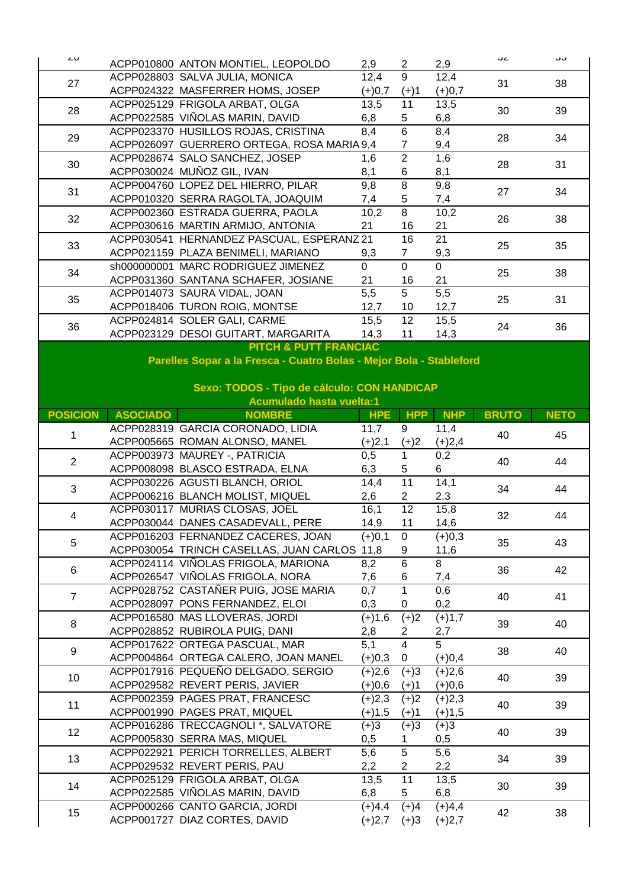| ∠∪                      |                 | ACPP010800 ANTON MONTIEL, LEOPOLDO                                  | 2,9              | $\overline{2}$  | 2,9              | ےں           | ںں          |
|-------------------------|-----------------|---------------------------------------------------------------------|------------------|-----------------|------------------|--------------|-------------|
|                         |                 | ACPP028803 SALVA JULIA, MONICA                                      | 12,4             | 9               | 12,4             |              |             |
| 27                      |                 | ACPP024322 MASFERRER HOMS, JOSEP                                    |                  |                 | $(+)0,7$         | 31           | 38          |
|                         |                 | ACPP025129 FRIGOLA ARBAT, OLGA                                      | $(+)0,7$         | $(+)1$<br>11    |                  |              |             |
| 28                      |                 | ACPP022585 VIÑOLAS MARIN, DAVID                                     | 13,5             |                 | 13,5             | 30           | 39          |
|                         |                 |                                                                     | 6,8              | 5               | 6,8              |              |             |
| 29                      |                 | ACPP023370 HUSILLOS ROJAS, CRISTINA                                 | 8,4              | $\overline{6}$  | 8,4              | 28           | 34          |
|                         |                 | ACPP026097 GUERRERO ORTEGA, ROSA MARIA 9,4                          |                  | $\overline{7}$  | 9,4              |              |             |
| 30                      |                 | ACPP028674 SALO SANCHEZ, JOSEP                                      | 1,6              | $\overline{2}$  | 1,6              | 28           | 31          |
|                         |                 | ACPP030024 MUÑOZ GIL, IVAN                                          | 8,1              | 6               | 8,1              |              |             |
| 31                      |                 | ACPP004760 LOPEZ DEL HIERRO, PILAR                                  | 9,8              | $\overline{8}$  | 9,8              | 27           | 34          |
|                         |                 | ACPP010320 SERRA RAGOLTA, JOAQUIM                                   | 7,4              | 5               | 7,4              |              |             |
| 32                      |                 | ACPP002360 ESTRADA GUERRA, PAOLA                                    | 10,2             | 8               | 10,2             | 26           | 38          |
|                         |                 | ACPP030616 MARTIN ARMIJO, ANTONIA                                   | 21               | 16              | 21               |              |             |
| 33                      |                 | ACPP030541 HERNANDEZ PASCUAL, ESPERANZ 21                           |                  | 16              | 21               | 25           |             |
|                         |                 | ACPP021159 PLAZA BENIMELI, MARIANO                                  | 9,3              | $\overline{7}$  | 9,3              |              | 35          |
| 34                      |                 | sh000000001 MARC RODRIGUEZ JIMENEZ                                  | $\mathbf 0$      | $\overline{0}$  | $\overline{0}$   |              | 38          |
|                         |                 | ACPP031360 SANTANA SCHAFER, JOSIANE                                 | 21               | 16              | 21               | 25           |             |
|                         |                 | ACPP014073 SAURA VIDAL, JOAN                                        | $\overline{5,5}$ | $\overline{5}$  | $\overline{5,5}$ |              | 31          |
| 35                      |                 | ACPP018406 TURON ROIG, MONTSE                                       | 12,7             | 10              | 12,7             | 25           |             |
|                         |                 | ACPP024814 SOLER GALI, CARME                                        | 15,5             | 12              | 15,5             |              |             |
| 36                      |                 | ACPP023129 DESOI GUITART, MARGARITA                                 | 14,3             | 11              | 14,3             | 24           | 36          |
|                         |                 | <b>PITCH &amp; PUTT FRANCIAC</b>                                    |                  |                 |                  |              |             |
|                         |                 | Parelles Sopar a la Fresca - Cuatro Bolas - Mejor Bola - Stableford |                  |                 |                  |              |             |
|                         |                 |                                                                     |                  |                 |                  |              |             |
|                         |                 | Sexo: TODOS - Tipo de cálculo: CON HANDICAP                         |                  |                 |                  |              |             |
|                         |                 | <b>Acumulado hasta vuelta:1</b>                                     |                  |                 |                  |              |             |
| <b>POSICION</b>         | <b>ASOCIADO</b> |                                                                     |                  | <b>HPP</b>      |                  |              |             |
|                         |                 | <b>NOMBRE</b>                                                       | <b>HPE</b>       |                 | <b>NHP</b>       | <b>BRUTO</b> | <b>NETO</b> |
|                         |                 | ACPP028319 GARCIA CORONADO, LIDIA                                   | 11,7             | 9               | 11,4             |              |             |
| 1                       |                 |                                                                     |                  |                 |                  | 40           | 45          |
|                         |                 | ACPP005665 ROMAN ALONSO, MANEL                                      | $(+)2,1$         | $(+)2$          | $(+)2,4$         |              |             |
| $\overline{2}$          |                 | ACPP003973 MAUREY -, PATRICIA                                       | 0,5              | $\mathbf{1}$    | 0,2              | 40           | 44          |
|                         |                 | ACPP008098 BLASCO ESTRADA, ELNA                                     | 6,3              | 5               | 6                |              |             |
|                         |                 | ACPP030226 AGUSTI BLANCH, ORIOL                                     | 14,4             | $\overline{11}$ | 14,1             |              |             |
| 3                       |                 | ACPP006216 BLANCH MOLIST, MIQUEL                                    | 2,6              | $\overline{c}$  | 2,3              | 34           | 44          |
|                         |                 | ACPP030117 MURIAS CLOSAS, JOEL                                      | 16,1             | 12              | 15,8             |              |             |
| $\overline{\mathbf{4}}$ |                 | ACPP030044 DANES CASADEVALL, PERE                                   | 14,9             | 11              | 14,6             | 32           | 44          |
|                         |                 | ACPP016203 FERNANDEZ CACERES, JOAN                                  | $(+)0,1$         | 0               | $(+)0,3$         |              |             |
| 5                       |                 | ACPP030054 TRINCH CASELLAS, JUAN CARLOS 11,8                        |                  | 9               | 11,6             | 35           | 43          |
|                         |                 | ACPP024114 VIÑOLAS FRIGOLA, MARIONA                                 | 8,2              | 6               | 8                |              |             |
| 6                       |                 | ACPP026547 VIÑOLAS FRIGOLA, NORA                                    | 7,6              | 6               | 7,4              | 36           | 42          |
|                         |                 | ACPP028752 CASTAÑER PUIG, JOSE MARIA                                | 0,7              | 1               | 0,6              |              |             |
| $\overline{7}$          |                 | ACPP028097 PONS FERNANDEZ, ELOI                                     | 0,3              | 0               |                  | 40           | 41          |
|                         |                 |                                                                     |                  |                 | 0,2              |              |             |
| 8                       |                 | ACPP016580 MAS LLOVERAS, JORDI                                      | $(+)1,6$         | $(+)2$          | $(+)1,7$         | 39           | 40          |
|                         |                 | ACPP028852 RUBIROLA PUIG, DANI                                      | 2,8              | 2               | 2,7              |              |             |
| $\boldsymbol{9}$        |                 | ACPP017622 ORTEGA PASCUAL, MAR                                      | $\overline{5,1}$ | $\overline{4}$  | $\overline{5}$   | 38           | 40          |
|                         |                 | ACPP004864 ORTEGA CALERO, JOAN MANEL                                | $(+)0,3$         | 0               | $(+)0,4$         |              |             |
| 10                      |                 | ACPP017916 PEQUEÑO DELGADO, SERGIO                                  | $(+)2,6$         | $(+)3$          | $(+)2,6$         | 40           | 39          |
|                         |                 | ACPP029582 REVERT PERIS, JAVIER                                     | $(+)0,6$         | $(+)1$          | $(+)0,6$         |              |             |
| 11                      |                 | ACPP002359 PAGES PRAT, FRANCESC                                     | $(+)2,3$         | $(+)2$          | $(+)2,3$         | 40           | 39          |
|                         |                 | ACPP001990 PAGES PRAT, MIQUEL                                       | $(+)1,5$         | $(+)1$          | $(+)1,5$         |              |             |
|                         |                 | ACPP016286 TRECCAGNOLI *, SALVATORE                                 | $(+)3$           | $(+)3$          | $(+)3$           | 40           |             |
| 12                      |                 | ACPP005830 SERRA MAS, MIQUEL                                        | 0,5              | 1               | 0,5              |              | 39          |
|                         |                 | ACPP022921 PERICH TORRELLES, ALBERT                                 | 5,6              | $\overline{5}$  | 5,6              |              |             |
| 13                      |                 | ACPP029532 REVERT PERIS, PAU                                        | 2,2              | $\overline{c}$  | 2,2              | 34           | 39          |
|                         |                 | ACPP025129 FRIGOLA ARBAT, OLGA                                      | 13,5             | 11              | 13,5             |              |             |
| 14                      |                 | ACPP022585 VIÑOLAS MARIN, DAVID                                     | 6,8              | 5               | 6,8              | 30           | 39          |
|                         |                 | ACPP000266 CANTO GARCIA, JORDI                                      | $(+)4,4$         | $(+)4$          | $(+)4,4$         |              |             |
| 15                      |                 | ACPP001727 DIAZ CORTES, DAVID                                       | $(+)2,7$         | $(+)3$          | $(+)2,7$         | 42           | 38          |